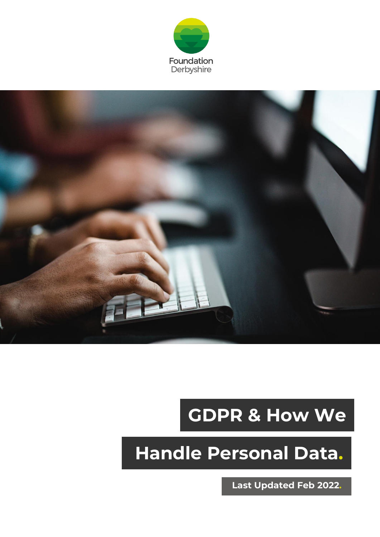



# **GDPR & How We**

# **Handle Personal Data.**

**Last Updated Feb 2022.**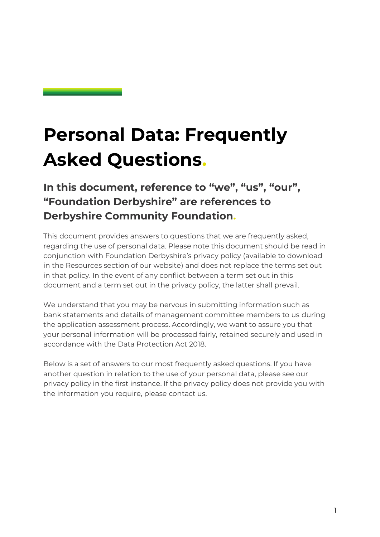## **Personal Data: Frequently Asked Questions.**

## **In this document, reference to "we", "us", "our", "Foundation Derbyshire" are references to Derbyshire Community Foundation.**

This document provides answers to questions that we are frequently asked, regarding the use of personal data. Please note this document should be read in conjunction with Foundation Derbyshire's privacy policy (available to download in the Resources section of our website) and does not replace the terms set out in that policy. In the event of any conflict between a term set out in this document and a term set out in the privacy policy, the latter shall prevail.

We understand that you may be nervous in submitting information such as bank statements and details of management committee members to us during the application assessment process. Accordingly, we want to assure you that your personal information will be processed fairly, retained securely and used in accordance with the Data Protection Act 2018.

Below is a set of answers to our most frequently asked questions. If you have another question in relation to the use of your personal data, please see our privacy policy in the first instance. If the privacy policy does not provide you with the information you require, please contact us.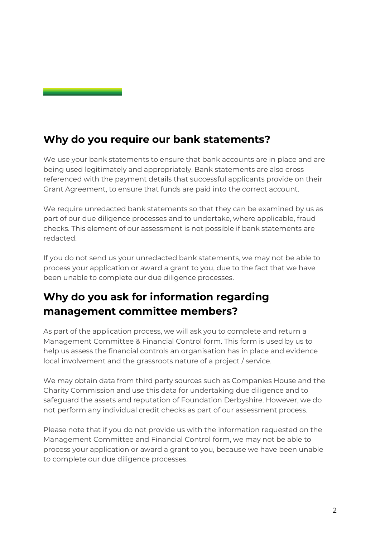### **Why do you require our bank statements?**

We use your bank statements to ensure that bank accounts are in place and are being used legitimately and appropriately. Bank statements are also cross referenced with the payment details that successful applicants provide on their Grant Agreement, to ensure that funds are paid into the correct account.

We require unredacted bank statements so that they can be examined by us as part of our due diligence processes and to undertake, where applicable, fraud checks. This element of our assessment is not possible if bank statements are redacted.

If you do not send us your unredacted bank statements, we may not be able to process your application or award a grant to you, due to the fact that we have been unable to complete our due diligence processes.

### **Why do you ask for information regarding management committee members?**

As part of the application process, we will ask you to complete and return a Management Committee & Financial Control form. This form is used by us to help us assess the financial controls an organisation has in place and evidence local involvement and the grassroots nature of a project / service.

We may obtain data from third party sources such as Companies House and the Charity Commission and use this data for undertaking due diligence and to safeguard the assets and reputation of Foundation Derbyshire. However, we do not perform any individual credit checks as part of our assessment process.

Please note that if you do not provide us with the information requested on the Management Committee and Financial Control form, we may not be able to process your application or award a grant to you, because we have been unable to complete our due diligence processes.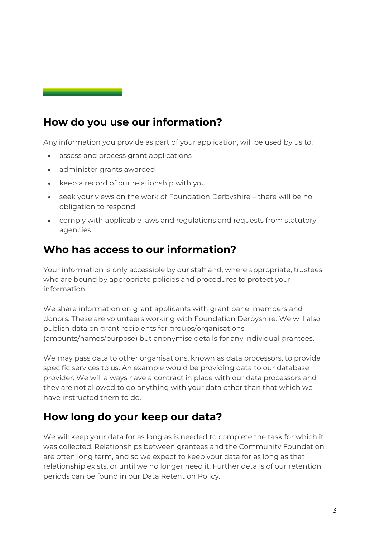### **How do you use our information?**

Any information you provide as part of your application, will be used by us to:

- assess and process grant applications
- administer grants awarded
- keep a record of our relationship with you
- seek your views on the work of Foundation Derbyshire there will be no obligation to respond
- comply with applicable laws and regulations and requests from statutory agencies.

#### **Who has access to our information?**

Your information is only accessible by our staff and, where appropriate, trustees who are bound by appropriate policies and procedures to protect your information.

We share information on grant applicants with grant panel members and donors. These are volunteers working with Foundation Derbyshire. We will also publish data on grant recipients for groups/organisations (amounts/names/purpose) but anonymise details for any individual grantees.

We may pass data to other organisations, known as data processors, to provide specific services to us. An example would be providing data to our database provider. We will always have a contract in place with our data processors and they are not allowed to do anything with your data other than that which we have instructed them to do.

#### **How long do your keep our data?**

We will keep your data for as long as is needed to complete the task for which it was collected. Relationships between grantees and the Community Foundation are often long term, and so we expect to keep your data for as long as that relationship exists, or until we no longer need it. Further details of our retention periods can be found in our Data Retention Policy.